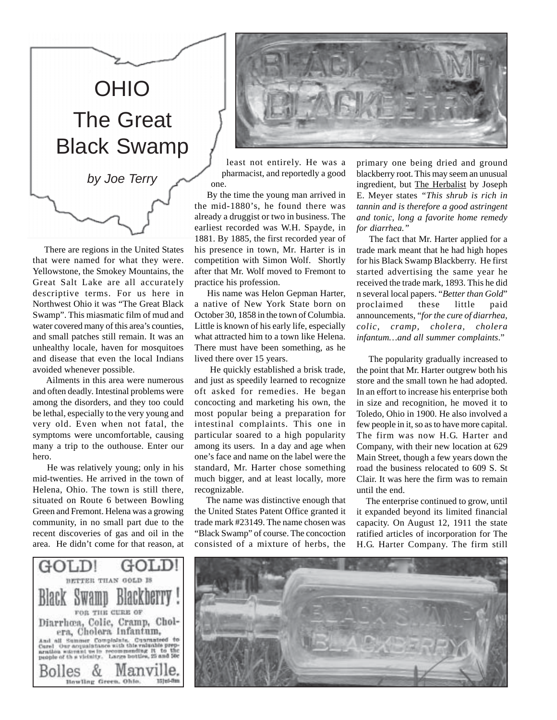

 There are regions in the United States that were named for what they were. Yellowstone, the Smokey Mountains, the Great Salt Lake are all accurately descriptive terms. For us here in Northwest Ohio it was "The Great Black Swamp". This miasmatic film of mud and water covered many of this area's counties, and small patches still remain. It was an unhealthy locale, haven for mosquitoes and disease that even the local Indians avoided whenever possible.

 Ailments in this area were numerous and often deadly. Intestinal problems were among the disorders, and they too could be lethal, especially to the very young and very old. Even when not fatal, the symptoms were uncomfortable, causing many a trip to the outhouse. Enter our hero.

 He was relatively young; only in his mid-twenties. He arrived in the town of Helena, Ohio. The town is still there, situated on Route 6 between Bowling Green and Fremont. Helena was a growing community, in no small part due to the recent discoveries of gas and oil in the area. He didn't come for that reason, at





least not entirely. He was a pharmacist, and reportedly a good one.

 By the time the young man arrived in the mid-1880's, he found there was already a druggist or two in business. The earliest recorded was W.H. Spayde, in 1881. By 1885, the first recorded year of his presence in town, Mr. Harter is in competition with Simon Wolf. Shortly after that Mr. Wolf moved to Fremont to practice his profession.

 His name was Helon Gepman Harter, a native of New York State born on October 30, 1858 in the town of Columbia. Little is known of his early life, especially what attracted him to a town like Helena. There must have been something, as he lived there over 15 years.

 He quickly established a brisk trade, and just as speedily learned to recognize oft asked for remedies. He began concocting and marketing his own, the most popular being a preparation for intestinal complaints. This one in particular soared to a high popularity among its users. In a day and age when one's face and name on the label were the standard, Mr. Harter chose something much bigger, and at least locally, more recognizable.

 The name was distinctive enough that the United States Patent Office granted it trade mark #23149. The name chosen was "Black Swamp" of course. The concoction consisted of a mixture of herbs, the

primary one being dried and ground blackberry root. This may seem an unusual ingredient, but The Herbalist by Joseph E. Meyer states *"This shrub is rich in tannin and is therefore a good astringent and tonic, long a favorite home remedy for diarrhea."*

 The fact that Mr. Harter applied for a trade mark meant that he had high hopes for his Black Swamp Blackberry. He first started advertising the same year he received the trade mark, 1893. This he did n several local papers. "*Better than Gold*" proclaimed these little paid announcements, "*for the cure of diarrhea, colic, cramp, cholera, cholera infantum…and all summer complaints*."

 The popularity gradually increased to the point that Mr. Harter outgrew both his store and the small town he had adopted. In an effort to increase his enterprise both in size and recognition, he moved it to Toledo, Ohio in 1900. He also involved a few people in it, so as to have more capital. The firm was now H.G. Harter and Company, with their new location at 629 Main Street, though a few years down the road the business relocated to 609 S. St Clair. It was here the firm was to remain until the end.

 The enterprise continued to grow, until it expanded beyond its limited financial capacity. On August 12, 1911 the state ratified articles of incorporation for The H.G. Harter Company. The firm still